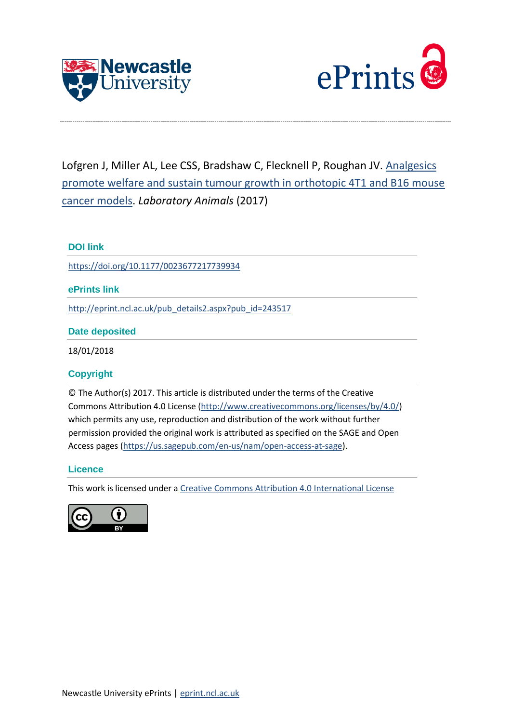



Lofgren J, Miller AL, Lee CSS, Bradshaw C, Flecknell P, Roughan JV. [Analgesics](http://eprint.ncl.ac.uk/pub_details2.aspx?pub_id=243517)  [promote welfare and sustain tumour growth in orthotopic 4T1 and B16 mouse](http://eprint.ncl.ac.uk/pub_details2.aspx?pub_id=243517)  [cancer models.](http://eprint.ncl.ac.uk/pub_details2.aspx?pub_id=243517) *Laboratory Animals* (2017)

# **DOI link**

<https://doi.org/10.1177/0023677217739934>

# **ePrints link**

[http://eprint.ncl.ac.uk/pub\\_details2.aspx?pub\\_id=243517](http://eprint.ncl.ac.uk/pub_details2.aspx?pub_id=243517)

# **Date deposited**

18/01/2018

# **Copyright**

© The Author(s) 2017. This article is distributed under the terms of the Creative Commons Attribution 4.0 License [\(http://www.creativecommons.org/licenses/by/4.0/\)](http://www.creativecommons.org/licenses/by/4.0/) which permits any use, reproduction and distribution of the work without further permission provided the original work is attributed as specified on the SAGE and Open Access pages [\(https://us.sagepub.com/en-us/nam/open-access-at-sage\)](https://us.sagepub.com/en-us/nam/open-access-at-sage).

# **Licence**

This work is licensed under a [Creative Commons Attribution 4.0 International License](http://creativecommons.org/licenses/by/4.0/)

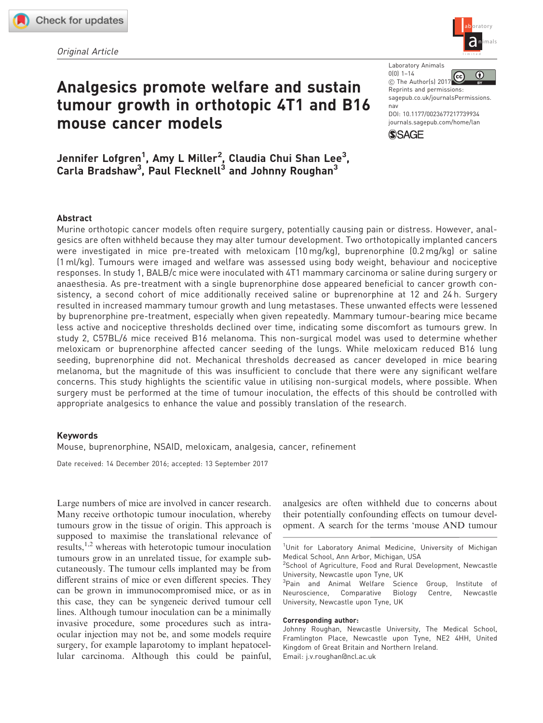Original Article



# Analgesics promote welfare and sustain tumour growth in orthotopic 4T1 and B16 mouse cancer models

Jennifer Lofgren<sup>1</sup>, Amy L Miller<sup>2</sup>, Claudia Chui Shan Lee<sup>3</sup>, Carla Bradshaw<sup>3</sup>, Paul Flecknell<sup>3</sup> and Johnny Roughan<sup>3</sup>

Laboratory Animals 0(0) 1–14

 $\bigcirc$  $\left($ cc C The Author(s) 2017

Reprints and permissions: [sagepub.co.uk/journalsPermissions.](https://uk.sagepub.com/en-gb/journals-permissions) [nav](https://uk.sagepub.com/en-gb/journals-permissions)

DOI: [10.1177/0023677217739934](https://doi.org/10.1177/0023677217739934) <journals.sagepub.com/home/lan>



# Abstract

Murine orthotopic cancer models often require surgery, potentially causing pain or distress. However, analgesics are often withheld because they may alter tumour development. Two orthotopically implanted cancers were investigated in mice pre-treated with meloxicam (10 mg/kg), buprenorphine (0.2 mg/kg) or saline (1 ml/kg). Tumours were imaged and welfare was assessed using body weight, behaviour and nociceptive responses. In study 1, BALB/c mice were inoculated with 4T1 mammary carcinoma or saline during surgery or anaesthesia. As pre-treatment with a single buprenorphine dose appeared beneficial to cancer growth consistency, a second cohort of mice additionally received saline or buprenorphine at 12 and 24 h. Surgery resulted in increased mammary tumour growth and lung metastases. These unwanted effects were lessened by buprenorphine pre-treatment, especially when given repeatedly. Mammary tumour-bearing mice became less active and nociceptive thresholds declined over time, indicating some discomfort as tumours grew. In study 2, C57BL/6 mice received B16 melanoma. This non-surgical model was used to determine whether meloxicam or buprenorphine affected cancer seeding of the lungs. While meloxicam reduced B16 lung seeding, buprenorphine did not. Mechanical thresholds decreased as cancer developed in mice bearing melanoma, but the magnitude of this was insufficient to conclude that there were any significant welfare concerns. This study highlights the scientific value in utilising non-surgical models, where possible. When surgery must be performed at the time of tumour inoculation, the effects of this should be controlled with appropriate analgesics to enhance the value and possibly translation of the research.

#### Keywords

Mouse, buprenorphine, NSAID, meloxicam, analgesia, cancer, refinement

Date received: 14 December 2016; accepted: 13 September 2017

Large numbers of mice are involved in cancer research. Many receive orthotopic tumour inoculation, whereby tumours grow in the tissue of origin. This approach is supposed to maximise the translational relevance of results,  $1,2$  whereas with heterotopic tumour inoculation tumours grow in an unrelated tissue, for example subcutaneously. The tumour cells implanted may be from different strains of mice or even different species. They can be grown in immunocompromised mice, or as in this case, they can be syngeneic derived tumour cell lines. Although tumour inoculation can be a minimally invasive procedure, some procedures such as intraocular injection may not be, and some models require surgery, for example laparotomy to implant hepatocellular carcinoma. Although this could be painful, analgesics are often withheld due to concerns about their potentially confounding effects on tumour development. A search for the terms 'mouse AND tumour

#### Corresponding author:

<sup>&</sup>lt;sup>1</sup>Unit for Laboratory Animal Medicine, University of Michigan Medical School, Ann Arbor, Michigan, USA

<sup>&</sup>lt;sup>2</sup>School of Agriculture, Food and Rural Development, Newcastle University, Newcastle upon Tyne, UK

<sup>&</sup>lt;sup>3</sup>Pain and Animal Welfare Science Group, Institute of Neuroscience, Comparative Biology Centre, Newcastle University, Newcastle upon Tyne, UK

Johnny Roughan, Newcastle University, The Medical School, Framlington Place, Newcastle upon Tyne, NE2 4HH, United Kingdom of Great Britain and Northern Ireland. Email: j.v.roughan@ncl.ac.uk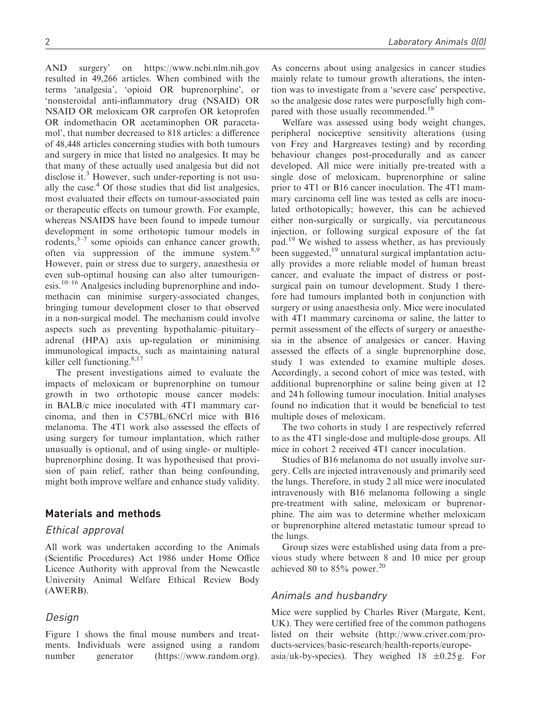AND surgery' on<https://www.ncbi.nlm.nih.gov> resulted in 49,266 articles. When combined with the terms 'analgesia', 'opioid OR buprenorphine', or 'nonsteroidal anti-inflammatory drug (NSAID) OR NSAID OR meloxicam OR carprofen OR ketoprofen OR indomethacin OR acetaminophen OR paracetamol', that number decreased to 818 articles: a difference of 48,448 articles concerning studies with both tumours and surgery in mice that listed no analgesics. It may be that many of these actually used analgesia but did not disclose it.<sup>3</sup> However, such under-reporting is not usually the case. $4$  Of those studies that did list analgesics, most evaluated their effects on tumour-associated pain or therapeutic effects on tumour growth. For example, whereas NSAIDS have been found to impede tumour development in some orthotopic tumour models in rodents, $5-7$  some opioids can enhance cancer growth, often via suppression of the immune system. $8.9$ However, pain or stress due to surgery, anaesthesia or even sub-optimal housing can also alter tumourigenesis.10–16 Analgesics including buprenorphine and indomethacin can minimise surgery-associated changes, bringing tumour development closer to that observed in a non-surgical model. The mechanism could involve aspects such as preventing hypothalamic–pituitary– adrenal (HPA) axis up-regulation or minimising immunological impacts, such as maintaining natural killer cell functioning.<sup>8,17</sup>

The present investigations aimed to evaluate the impacts of meloxicam or buprenorphine on tumour growth in two orthotopic mouse cancer models: in BALB/c mice inoculated with 4T1 mammary carcinoma, and then in C57BL/6NCrl mice with B16 melanoma. The 4T1 work also assessed the effects of using surgery for tumour implantation, which rather unusually is optional, and of using single- or multiplebuprenorphine dosing. It was hypothesised that provision of pain relief, rather than being confounding, might both improve welfare and enhance study validity.

## Materials and methods

#### Ethical approval

All work was undertaken according to the Animals (Scientific Procedures) Act 1986 under Home Office Licence Authority with approval from the Newcastle University Animal Welfare Ethical Review Body (AWERB).

#### Design

Figure 1 shows the final mouse numbers and treatments. Individuals were assigned using a random number generator [\(https://www.random.org\)](https://www.random.org). As concerns about using analgesics in cancer studies mainly relate to tumour growth alterations, the intention was to investigate from a 'severe case' perspective, so the analgesic dose rates were purposefully high compared with those usually recommended.<sup>18</sup>

Welfare was assessed using body weight changes, peripheral nociceptive sensitivity alterations (using von Frey and Hargreaves testing) and by recording behaviour changes post-procedurally and as cancer developed. All mice were initially pre-treated with a single dose of meloxicam, buprenorphine or saline prior to 4T1 or B16 cancer inoculation. The 4T1 mammary carcinoma cell line was tested as cells are inoculated orthotopically; however, this can be achieved either non-surgically or surgically, via percutaneous injection, or following surgical exposure of the fat pad.19 We wished to assess whether, as has previously been suggested, $^{19}$  unnatural surgical implantation actually provides a more reliable model of human breast cancer, and evaluate the impact of distress or postsurgical pain on tumour development. Study 1 therefore had tumours implanted both in conjunction with surgery or using anaesthesia only. Mice were inoculated with 4T1 mammary carcinoma or saline, the latter to permit assessment of the effects of surgery or anaesthesia in the absence of analgesics or cancer. Having assessed the effects of a single buprenorphine dose, study 1 was extended to examine multiple doses. Accordingly, a second cohort of mice was tested, with additional buprenorphine or saline being given at 12 and 24 h following tumour inoculation. Initial analyses found no indication that it would be beneficial to test multiple doses of meloxicam.

The two cohorts in study 1 are respectively referred to as the 4T1 single-dose and multiple-dose groups. All mice in cohort 2 received 4T1 cancer inoculation.

Studies of B16 melanoma do not usually involve surgery. Cells are injected intravenously and primarily seed the lungs. Therefore, in study 2 all mice were inoculated intravenously with B16 melanoma following a single pre-treatment with saline, meloxicam or buprenorphine. The aim was to determine whether meloxicam or buprenorphine altered metastatic tumour spread to the lungs.

Group sizes were established using data from a previous study where between 8 and 10 mice per group achieved 80 to 85% power.<sup>20</sup>

## Animals and husbandry

Mice were supplied by Charles River (Margate, Kent, UK). They were certified free of the common pathogens listed on their website [\(http://www.criver.com/pro](http://www.criver.com/products-services/basic-research/health-reports/europe-asia/uk-by-species)[ducts-services/basic-research/health-reports/europe](http://www.criver.com/products-services/basic-research/health-reports/europe-asia/uk-by-species)[asia/uk-by-species\)](http://www.criver.com/products-services/basic-research/health-reports/europe-asia/uk-by-species). They weighed  $18 \pm 0.25$  g. For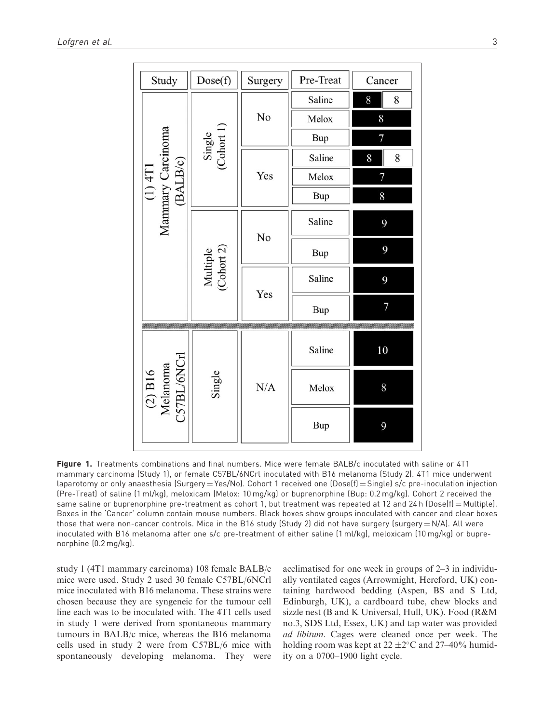| Study                                                                                   | Dose(f)                | Surgery | Pre-Treat  | Cancer |
|-----------------------------------------------------------------------------------------|------------------------|---------|------------|--------|
| (1) $\frac{4\overline{11}}{11}$<br>Mammary Carcinoma<br>$\frac{\overline{(BALB/c)}}{1}$ | Single<br>(Cohort 1)   | No      | Saline     | 8<br>8 |
|                                                                                         |                        |         | Melox      | 8      |
|                                                                                         |                        |         | Bup        | 7      |
|                                                                                         |                        | Yes     | Saline     | 8<br>8 |
|                                                                                         |                        |         | Melox      | 7      |
|                                                                                         |                        |         | <b>Bup</b> | 8      |
|                                                                                         | Multiple<br>(Cohort 2) | No      | Saline     | 9      |
|                                                                                         |                        |         | Bup        | 9      |
|                                                                                         |                        | Yes     | Saline     | 9      |
|                                                                                         |                        |         | Bup        | 7      |
| $\begin{array}{c} \text{(2) B16} \\ \text{Melanoma} \\ \text{CS7BL/6NCH} \end{array}$   | Single                 | N/A     | Saline     | 10     |
|                                                                                         |                        |         | Melox      | 8      |
|                                                                                         |                        |         | Bup        | 9      |

Figure 1. Treatments combinations and final numbers. Mice were female BALB/c inoculated with saline or 4T1 mammary carcinoma (Study 1), or female C57BL/6NCrl inoculated with B16 melanoma (Study 2). 4T1 mice underwent laparotomy or only anaesthesia (Surgery = Yes/No). Cohort 1 received one (Dose(f) = Single) s/c pre-inoculation injection (Pre-Treat) of saline (1 ml/kg), meloxicam (Melox: 10 mg/kg) or buprenorphine (Bup: 0.2 mg/kg). Cohort 2 received the same saline or buprenorphine pre-treatment as cohort 1, but treatment was repeated at 12 and 24 h (Dose(f) = Multiple). Boxes in the 'Cancer' column contain mouse numbers. Black boxes show groups inoculated with cancer and clear boxes those that were non-cancer controls. Mice in the B16 study (Study 2) did not have surgery (surgery  $=N/A$ ). All were inoculated with B16 melanoma after one s/c pre-treatment of either saline (1 ml/kg), meloxicam (10 mg/kg) or buprenorphine (0.2 mg/kg).

study 1 (4T1 mammary carcinoma) 108 female BALB/c mice were used. Study 2 used 30 female C57BL/6NCrl mice inoculated with B16 melanoma. These strains were chosen because they are syngeneic for the tumour cell line each was to be inoculated with. The 4T1 cells used in study 1 were derived from spontaneous mammary tumours in BALB/c mice, whereas the B16 melanoma cells used in study 2 were from C57BL/6 mice with spontaneously developing melanoma. They were acclimatised for one week in groups of 2–3 in individually ventilated cages (Arrowmight, Hereford, UK) containing hardwood bedding (Aspen, BS and S Ltd, Edinburgh, UK), a cardboard tube, chew blocks and sizzle nest (B and K Universal, Hull, UK). Food (R&M no.3, SDS Ltd, Essex, UK) and tap water was provided ad libitum. Cages were cleaned once per week. The holding room was kept at  $22 \pm 2^{\circ}$ C and  $27-40\%$  humidity on a 0700–1900 light cycle.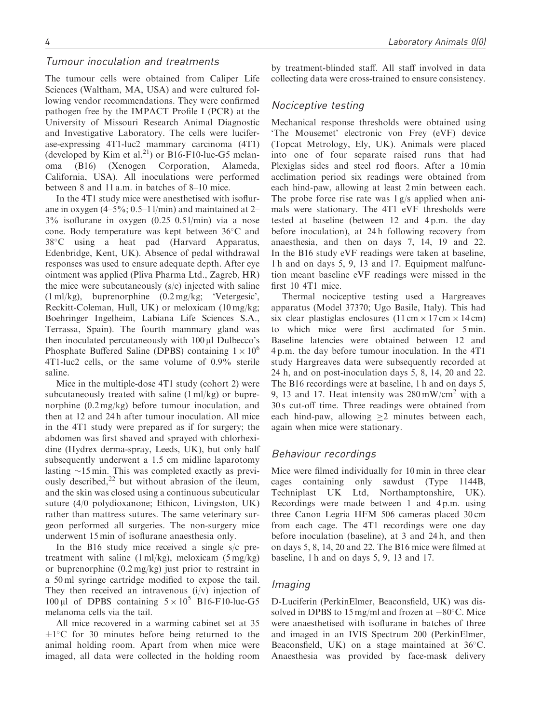## Tumour inoculation and treatments

The tumour cells were obtained from Caliper Life Sciences (Waltham, MA, USA) and were cultured following vendor recommendations. They were confirmed pathogen free by the IMPACT Profile I (PCR) at the University of Missouri Research Animal Diagnostic and Investigative Laboratory. The cells were luciferase-expressing 4T1-luc2 mammary carcinoma (4T1) (developed by Kim et al.<sup>21</sup>) or B16-F10-luc-G5 melanoma (B16) (Xenogen Corporation, Alameda, California, USA). All inoculations were performed between 8 and 11 a.m. in batches of 8–10 mice.

In the 4T1 study mice were anesthetised with isoflurane in oxygen  $(4-5\%; 0.5-11/min)$  and maintained at 2-3% isoflurane in oxygen (0.25–0.5 l/min) via a nose cone. Body temperature was kept between  $36^{\circ}$ C and 38C using a heat pad (Harvard Apparatus, Edenbridge, Kent, UK). Absence of pedal withdrawal responses was used to ensure adequate depth. After eye ointment was applied (Pliva Pharma Ltd., Zagreb, HR) the mice were subcutaneously  $(s/c)$  injected with saline (1 ml/kg), buprenorphine (0.2 mg/kg; 'Vetergesic', Reckitt-Coleman, Hull, UK) or meloxicam (10 mg/kg; Boehringer Ingelheim, Labiana Life Sciences S.A., Terrassa, Spain). The fourth mammary gland was then inoculated percutaneously with  $100 \mu$ l Dulbecco's Phosphate Buffered Saline (DPBS) containing  $1 \times 10^6$ 4T1-luc2 cells, or the same volume of 0.9% sterile saline.

Mice in the multiple-dose 4T1 study (cohort 2) were subcutaneously treated with saline (1 ml/kg) or buprenorphine (0.2 mg/kg) before tumour inoculation, and then at 12 and 24 h after tumour inoculation. All mice in the 4T1 study were prepared as if for surgery; the abdomen was first shaved and sprayed with chlorhexidine (Hydrex derma-spray, Leeds, UK), but only half subsequently underwent a 1.5 cm midline laparotomy lasting  $\sim$ 15 min. This was completed exactly as previously described,<sup>22</sup> but without abrasion of the ileum, and the skin was closed using a continuous subcuticular suture (4/0 polydioxanone; Ethicon, Livingston, UK) rather than mattress sutures. The same veterinary surgeon performed all surgeries. The non-surgery mice underwent 15 min of isoflurane anaesthesia only.

In the B16 study mice received a single s/c pretreatment with saline  $(1 \text{ ml/kg})$ , meloxicam  $(5 \text{ mg/kg})$ or buprenorphine (0.2 mg/kg) just prior to restraint in a 50 ml syringe cartridge modified to expose the tail. They then received an intravenous  $(i/v)$  injection of 100 µl of DPBS containing  $5 \times 10^5$  B16-F10-luc-G5 melanoma cells via the tail.

All mice recovered in a warming cabinet set at 35  $\pm 1^{\circ}$ C for 30 minutes before being returned to the animal holding room. Apart from when mice were imaged, all data were collected in the holding room

by treatment-blinded staff. All staff involved in data collecting data were cross-trained to ensure consistency.

### Nociceptive testing

Mechanical response thresholds were obtained using 'The Mousemet' electronic von Frey (eVF) device (Topcat Metrology, Ely, UK). Animals were placed into one of four separate raised runs that had Plexiglas sides and steel rod floors. After a 10 min acclimation period six readings were obtained from each hind-paw, allowing at least 2 min between each. The probe force rise rate was  $1 g/s$  applied when animals were stationary. The 4T1 eVF thresholds were tested at baseline (between 12 and 4 p.m. the day before inoculation), at 24 h following recovery from anaesthesia, and then on days 7, 14, 19 and 22. In the B16 study eVF readings were taken at baseline, 1 h and on days 5, 9, 13 and 17. Equipment malfunction meant baseline eVF readings were missed in the first 10 4T1 mice.

Thermal nociceptive testing used a Hargreaves apparatus (Model 37370; Ugo Basile, Italy). This had six clear plastiglas enclosures  $(11 \text{ cm} \times 17 \text{ cm} \times 14 \text{ cm})$ to which mice were first acclimated for 5 min. Baseline latencies were obtained between 12 and 4 p.m. the day before tumour inoculation. In the 4T1 study Hargreaves data were subsequently recorded at 24 h, and on post-inoculation days 5, 8, 14, 20 and 22. The B16 recordings were at baseline, 1 h and on days 5, 9, 13 and 17. Heat intensity was  $280 \,\mathrm{mW/cm^2}$  with a 30 s cut-off time. Three readings were obtained from each hind-paw, allowing  $>2$  minutes between each, again when mice were stationary.

## Behaviour recordings

Mice were filmed individually for 10 min in three clear cages containing only sawdust (Type 1144B, Techniplast UK Ltd, Northamptonshire, UK). Recordings were made between 1 and 4 p.m. using three Canon Legria HFM 506 cameras placed 30 cm from each cage. The 4T1 recordings were one day before inoculation (baseline), at 3 and 24 h, and then on days 5, 8, 14, 20 and 22. The B16 mice were filmed at baseline, 1 h and on days 5, 9, 13 and 17.

#### Imaging

D-Luciferin (PerkinElmer, Beaconsfield, UK) was dissolved in DPBS to 15 mg/ml and frozen at  $-80^{\circ}$ C. Mice were anaesthetised with isoflurane in batches of three and imaged in an IVIS Spectrum 200 (PerkinElmer, Beaconsfield, UK) on a stage maintained at  $36^{\circ}$ C. Anaesthesia was provided by face-mask delivery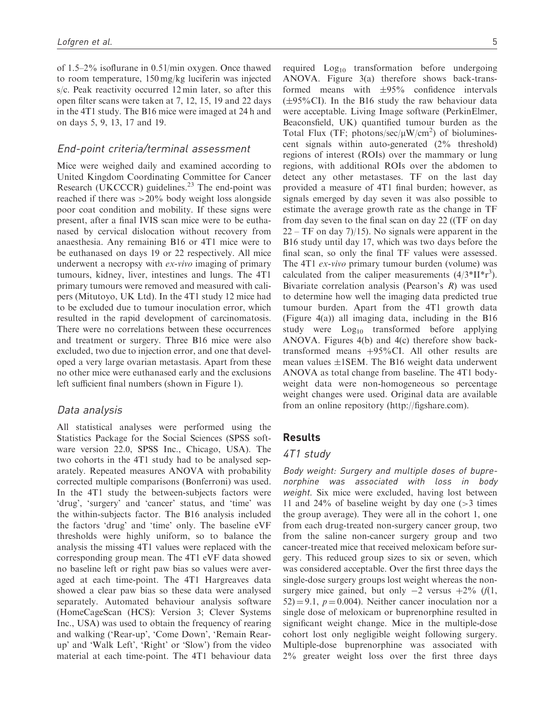of 1.5–2% isoflurane in 0.5 l/min oxygen. Once thawed to room temperature, 150 mg/kg luciferin was injected s/c. Peak reactivity occurred 12 min later, so after this open filter scans were taken at 7, 12, 15, 19 and 22 days in the 4T1 study. The B16 mice were imaged at 24 h and on days 5, 9, 13, 17 and 19.

#### End-point criteria/terminal assessment

Mice were weighed daily and examined according to United Kingdom Coordinating Committee for Cancer Research (UKCCCR) guidelines. $2<sup>3</sup>$  The end-point was reached if there was >20% body weight loss alongside poor coat condition and mobility. If these signs were present, after a final IVIS scan mice were to be euthanased by cervical dislocation without recovery from anaesthesia. Any remaining B16 or 4T1 mice were to be euthanased on days 19 or 22 respectively. All mice underwent a necropsy with ex-vivo imaging of primary tumours, kidney, liver, intestines and lungs. The 4T1 primary tumours were removed and measured with calipers (Mitutoyo, UK Ltd). In the 4T1 study 12 mice had to be excluded due to tumour inoculation error, which resulted in the rapid development of carcinomatosis. There were no correlations between these occurrences and treatment or surgery. Three B16 mice were also excluded, two due to injection error, and one that developed a very large ovarian metastasis. Apart from these no other mice were euthanased early and the exclusions left sufficient final numbers (shown in Figure 1).

## Data analysis

All statistical analyses were performed using the Statistics Package for the Social Sciences (SPSS software version 22.0, SPSS Inc., Chicago, USA). The two cohorts in the 4T1 study had to be analysed separately. Repeated measures ANOVA with probability corrected multiple comparisons (Bonferroni) was used. In the 4T1 study the between-subjects factors were 'drug', 'surgery' and 'cancer' status, and 'time' was the within-subjects factor. The B16 analysis included the factors 'drug' and 'time' only. The baseline eVF thresholds were highly uniform, so to balance the analysis the missing 4T1 values were replaced with the corresponding group mean. The 4T1 eVF data showed no baseline left or right paw bias so values were averaged at each time-point. The 4T1 Hargreaves data showed a clear paw bias so these data were analysed separately. Automated behaviour analysis software (HomeCageScan (HCS): Version 3; Clever Systems Inc., USA) was used to obtain the frequency of rearing and walking ('Rear-up', 'Come Down', 'Remain Rearup' and 'Walk Left', 'Right' or 'Slow') from the video material at each time-point. The 4T1 behaviour data required  $Log<sub>10</sub>$  transformation before undergoing ANOVA. Figure 3(a) therefore shows back-transformed means with  $\pm 95\%$  confidence intervals  $(\pm 95\% \text{ CI})$ . In the B16 study the raw behaviour data were acceptable. Living Image software (PerkinElmer, Beaconsfield, UK) quantified tumour burden as the Total Flux (TF; photons/sec/ $\mu$ W/cm<sup>2</sup>) of bioluminescent signals within auto-generated (2% threshold) regions of interest (ROIs) over the mammary or lung regions, with additional ROIs over the abdomen to detect any other metastases. TF on the last day provided a measure of 4T1 final burden; however, as signals emerged by day seven it was also possible to estimate the average growth rate as the change in TF from day seven to the final scan on day 22 ((TF on day  $22 - TF$  on day 7)/15). No signals were apparent in the B16 study until day 17, which was two days before the final scan, so only the final TF values were assessed. The 4T1 ex-vivo primary tumour burden (volume) was calculated from the caliper measurements  $(4/3*II*r<sup>3</sup>)$ . Bivariate correlation analysis (Pearson's R) was used to determine how well the imaging data predicted true tumour burden. Apart from the 4T1 growth data (Figure 4(a)) all imaging data, including in the B16 study were  $Log_{10}$  transformed before applying ANOVA. Figures 4(b) and 4(c) therefore show backtransformed means  $+95\%$ CI. All other results are mean values  $\pm$ 1SEM. The B16 weight data underwent ANOVA as total change from baseline. The 4T1 bodyweight data were non-homogeneous so percentage weight changes were used. Original data are available from an online repository ([http://figshare.com\)](http://figshare.com).

## Results

#### 4T1 study

Body weight: Surgery and multiple doses of buprenorphine was associated with loss in body weight. Six mice were excluded, having lost between 11 and 24% of baseline weight by day one (>3 times the group average). They were all in the cohort 1, one from each drug-treated non-surgery cancer group, two from the saline non-cancer surgery group and two cancer-treated mice that received meloxicam before surgery. This reduced group sizes to six or seven, which was considered acceptable. Over the first three days the single-dose surgery groups lost weight whereas the nonsurgery mice gained, but only  $-2$  versus  $+2\%$  (f(1,  $52$ ) = 9.1,  $p = 0.004$ ). Neither cancer inoculation nor a single dose of meloxicam or buprenorphine resulted in significant weight change. Mice in the multiple-dose cohort lost only negligible weight following surgery. Multiple-dose buprenorphine was associated with 2% greater weight loss over the first three days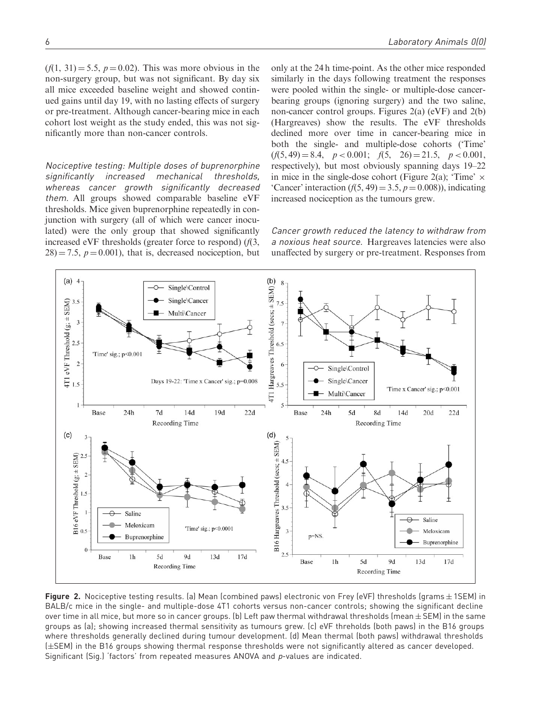$(f(1, 31) = 5.5, p = 0.02)$ . This was more obvious in the non-surgery group, but was not significant. By day six all mice exceeded baseline weight and showed continued gains until day 19, with no lasting effects of surgery or pre-treatment. Although cancer-bearing mice in each cohort lost weight as the study ended, this was not significantly more than non-cancer controls.

Nociceptive testing: Multiple doses of buprenorphine significantly increased mechanical thresholds, whereas cancer growth significantly decreased them. All groups showed comparable baseline eVF thresholds. Mice given buprenorphine repeatedly in conjunction with surgery (all of which were cancer inoculated) were the only group that showed significantly increased eVF thresholds (greater force to respond)  $(f(3,$  $28 = 7.5$ ,  $p = 0.001$ , that is, decreased nociception, but only at the 24 h time-point. As the other mice responded similarly in the days following treatment the responses were pooled within the single- or multiple-dose cancerbearing groups (ignoring surgery) and the two saline, non-cancer control groups. Figures 2(a) (eVF) and 2(b) (Hargreaves) show the results. The eVF thresholds declined more over time in cancer-bearing mice in both the single- and multiple-dose cohorts ('Time'  $(f(5, 49) = 8.4, p < 0.001; f(5, 26) = 21.5, p < 0.001,$ respectively), but most obviously spanning days 19–22 in mice in the single-dose cohort (Figure 2(a); 'Time'  $\times$ 'Cancer' interaction  $(f(5, 49) = 3.5, p = 0.008)$ ), indicating increased nociception as the tumours grew.

Cancer growth reduced the latency to withdraw from a noxious heat source. Hargreaves latencies were also unaffected by surgery or pre-treatment. Responses from



**Figure 2.** Nociceptive testing results. (a) Mean (combined paws) electronic von Frey (eVF) thresholds (grams $\pm$ 1SEM) in BALB/c mice in the single- and multiple-dose 4T1 cohorts versus non-cancer controls; showing the significant decline over time in all mice, but more so in cancer groups. (b) Left paw thermal withdrawal thresholds (mean $\pm$  SEM) in the same groups as (a); showing increased thermal sensitivity as tumours grew. (c) eVF threholds (both paws) in the B16 groups where thresholds generally declined during tumour development. (d) Mean thermal (both paws) withdrawal thresholds ( $\pm$ SEM) in the B16 groups showing thermal response thresholds were not significantly altered as cancer developed. Significant (Sig.) 'factors' from repeated measures ANOVA and p-values are indicated.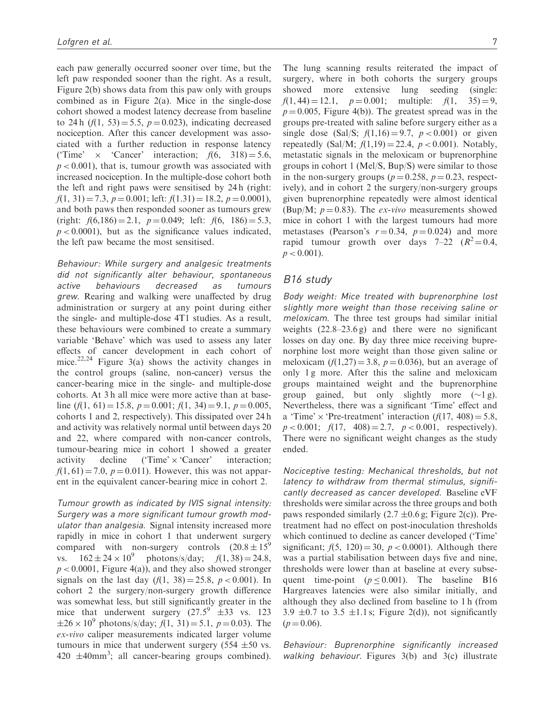each paw generally occurred sooner over time, but the left paw responded sooner than the right. As a result, Figure 2(b) shows data from this paw only with groups combined as in Figure 2(a). Mice in the single-dose cohort showed a modest latency decrease from baseline to 24 h  $(f(1, 53) = 5.5, p = 0.023)$ , indicating decreased nociception. After this cancer development was associated with a further reduction in response latency ('Time'  $\times$  'Cancer' interaction;  $f(6, 318) = 5.6$ ,  $p < 0.001$ ), that is, tumour growth was associated with increased nociception. In the multiple-dose cohort both the left and right paws were sensitised by 24 h (right:  $f(1, 31) = 7.3$ ,  $p = 0.001$ ; left:  $f(1.31) = 18.2$ ,  $p = 0.0001$ ), and both paws then responded sooner as tumours grew (right:  $f(6,186) = 2.1$ ,  $p = 0.049$ ; left:  $f(6, 186) = 5.3$ ,  $p < 0.0001$ , but as the significance values indicated, the left paw became the most sensitised.

Behaviour: While surgery and analgesic treatments did not significantly alter behaviour, spontaneous active behaviours decreased as tumours grew. Rearing and walking were unaffected by drug administration or surgery at any point during either the single- and multiple-dose 4T1 studies. As a result, these behaviours were combined to create a summary variable 'Behave' which was used to assess any later effects of cancer development in each cohort of mice.<sup>22,24</sup> Figure 3(a) shows the activity changes in the control groups (saline, non-cancer) versus the cancer-bearing mice in the single- and multiple-dose cohorts. At 3 h all mice were more active than at baseline  $(f(1, 61) = 15.8, p = 0.001; f(1, 34) = 9.1, p = 0.005,$ cohorts 1 and 2, respectively). This dissipated over 24 h and activity was relatively normal until between days 20 and 22, where compared with non-cancer controls, tumour-bearing mice in cohort 1 showed a greater activity decline  $(\text{Time} \times \text{Cancer})$  interaction;  $f(1, 61) = 7.0, p = 0.011$ . However, this was not apparent in the equivalent cancer-bearing mice in cohort 2.

Tumour growth as indicated by IVIS signal intensity: Surgery was a more significant tumour growth modulator than analgesia. Signal intensity increased more rapidly in mice in cohort 1 that underwent surgery compared with non-surgery controls  $(20.8 \pm 15^9)$ vs.  $162 \pm 24 \times 10^9$ photons/s/day;  $f(1, 38) = 24.8$ ,  $p < 0.0001$ , Figure 4(a)), and they also showed stronger signals on the last day  $(f(1, 38) = 25.8, p < 0.001)$ . In cohort 2 the surgery/non-surgery growth difference was somewhat less, but still significantly greater in the mice that underwent surgery  $(27.5^9 \text{ } \pm 33 \text{ } \text{vs. } 123)$  $\pm 26 \times 10^9$  photons/s/day;  $f(1, 31) = 5.1$ ,  $p = 0.03$ ). The ex-vivo caliper measurements indicated larger volume tumours in mice that underwent surgery  $(554 \pm 50 \text{ vs.})$  $420 \pm 40$ mm<sup>3</sup>; all cancer-bearing groups combined).

The lung scanning results reiterated the impact of surgery, where in both cohorts the surgery groups showed more extensive lung seeding (single:  $f(1, 44) = 12.1, p = 0.001;$  multiple:  $f(1, 35) = 9,$  $p = 0.005$ , Figure 4(b)). The greatest spread was in the groups pre-treated with saline before surgery either as a single dose (Sal/S;  $f(1,16) = 9.7$ ,  $p < 0.001$ ) or given repeatedly (Sal/M;  $f(1,19) = 22.4$ ,  $p < 0.001$ ). Notably, metastatic signals in the meloxicam or buprenorphine groups in cohort 1 (Mel/S, Bup/S) were similar to those in the non-surgery groups ( $p = 0.258$ ,  $p = 0.23$ , respectively), and in cohort 2 the surgery/non-surgery groups given buprenorphine repeatedly were almost identical (Bup/M;  $p = 0.83$ ). The ex-vivo measurements showed mice in cohort 1 with the largest tumours had more metastases (Pearson's  $r = 0.34$ ,  $p = 0.024$ ) and more rapid tumour growth over days  $7-22$   $(R^2=0.4,$  $p < 0.001$ ).

## B16 study

Body weight: Mice treated with buprenorphine lost slightly more weight than those receiving saline or meloxicam. The three test groups had similar initial weights  $(22.8-23.6 g)$  and there were no significant losses on day one. By day three mice receiving buprenorphine lost more weight than those given saline or meloxicam  $(f(1,27) = 3.8, p = 0.036)$ , but an average of only 1 g more. After this the saline and meloxicam groups maintained weight and the buprenorphine group gained, but only slightly more  $(\sim 1 \text{ g})$ . Nevertheless, there was a significant 'Time' effect and a 'Time'  $\times$  'Pre-treatment' interaction ( $f(17, 408) = 5.8$ ,  $p < 0.001$ ;  $f(17, 408) = 2.7$ ,  $p < 0.001$ , respectively). There were no significant weight changes as the study ended.

Nociceptive testing: Mechanical thresholds, but not latency to withdraw from thermal stimulus, significantly decreased as cancer developed. Baseline eVF thresholds were similar across the three groups and both paws responded similarly  $(2.7 \pm 0.6 \text{ g}; \text{Figure 2(c)})$ . Pretreatment had no effect on post-inoculation thresholds which continued to decline as cancer developed ('Time' significant;  $f(5, 120) = 30$ ,  $p < 0.0001$ ). Although there was a partial stabilisation between days five and nine, thresholds were lower than at baseline at every subsequent time-point ( $p \le 0.001$ ). The baseline B16 Hargreaves latencies were also similar initially, and although they also declined from baseline to 1 h (from 3.9  $\pm$ 0.7 to 3.5  $\pm$ 1.1 s; Figure 2(d)), not significantly  $(p = 0.06)$ .

Behaviour: Buprenorphine significantly increased walking behaviour. Figures 3(b) and 3(c) illustrate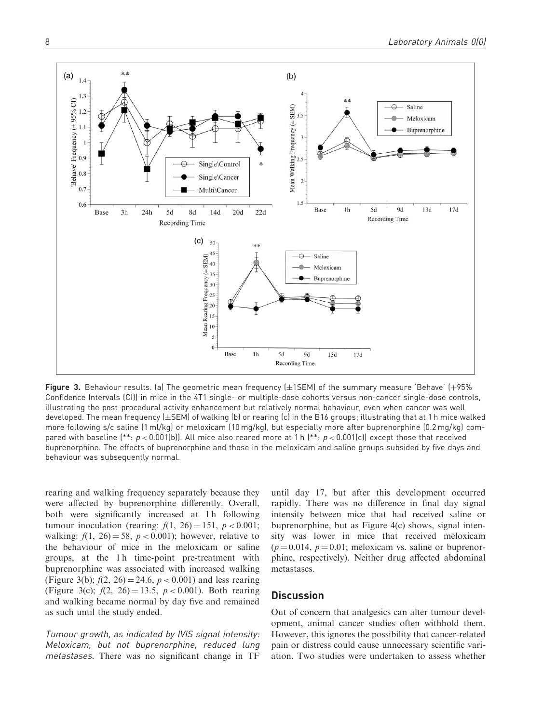

**Figure 3.** Behaviour results. (a) The geometric mean frequency (±1SEM) of the summary measure 'Behave' (+95% Confidence Intervals (CI)) in mice in the 4T1 single- or multiple-dose cohorts versus non-cancer single-dose controls, illustrating the post-procedural activity enhancement but relatively normal behaviour, even when cancer was well developed. The mean frequency (±SEM) of walking (b) or rearing (c) in the B16 groups; illustrating that at 1 h mice walked more following s/c saline (1 ml/kg) or meloxicam (10 mg/kg), but especially more after buprenorphine (0.2 mg/kg) compared with baseline  $(*^*: p < 0.001(b))$ . All mice also reared more at 1 h  $(*: p < 0.001(c))$  except those that received buprenorphine. The effects of buprenorphine and those in the meloxicam and saline groups subsided by five days and behaviour was subsequently normal.

rearing and walking frequency separately because they were affected by buprenorphine differently. Overall, both were significantly increased at 1h following tumour inoculation (rearing:  $f(1, 26) = 151$ ,  $p < 0.001$ ; walking:  $f(1, 26) = 58$ ,  $p < 0.001$ ); however, relative to the behaviour of mice in the meloxicam or saline groups, at the 1 h time-point pre-treatment with buprenorphine was associated with increased walking (Figure 3(b);  $f(2, 26) = 24.6$ ,  $p < 0.001$ ) and less rearing (Figure 3(c);  $f(2, 26) = 13.5$ ,  $p < 0.001$ ). Both rearing and walking became normal by day five and remained as such until the study ended.

Tumour growth, as indicated by IVIS signal intensity: Meloxicam, but not buprenorphine, reduced lung metastases. There was no significant change in TF

until day 17, but after this development occurred rapidly. There was no difference in final day signal intensity between mice that had received saline or buprenorphine, but as Figure 4(c) shows, signal intensity was lower in mice that received meloxicam  $(p = 0.014, p = 0.01;$  meloxicam vs. saline or buprenorphine, respectively). Neither drug affected abdominal metastases.

#### **Discussion**

Out of concern that analgesics can alter tumour development, animal cancer studies often withhold them. However, this ignores the possibility that cancer-related pain or distress could cause unnecessary scientific variation. Two studies were undertaken to assess whether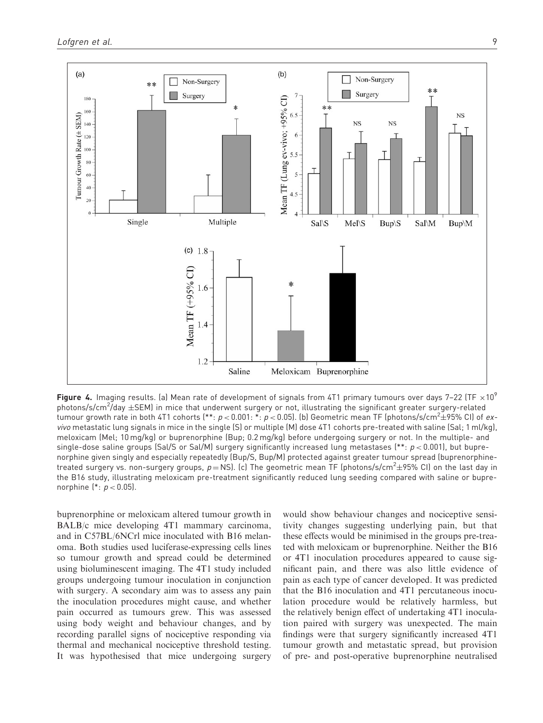

**Figure 4.** Imaging results. (a) Mean rate of development of signals from 4T1 primary tumours over days 7–22 (TF  $\times$ 10<sup>9</sup>) photons/s/cm<sup>2</sup>/day  $\pm$ SEM) in mice that underwent surgery or not, illustrating the significant greater surgery-related tumour growth rate in both 4T1 cohorts (\*\*:  $p$  < 0.001: \*:  $p$  < 0.05). (b) Geometric mean TF (photons/s/cm $^2\pm$ 95% CI) of  $ex$ vivo metastatic lung signals in mice in the single (S) or multiple (M) dose 4T1 cohorts pre-treated with saline (Sal; 1 ml/kg), meloxicam (Mel; 10 mg/kg) or buprenorphine (Bup; 0.2 mg/kg) before undergoing surgery or not. In the multiple- and single-dose saline groups (Sal/S or Sal/M) surgery significantly increased lung metastases (\*\*:  $p < 0.001$ ), but buprenorphine given singly and especially repeatedly (Bup/S, Bup/M) protected against greater tumour spread (buprenorphinetreated surgery vs. non-surgery groups,  $p=$  NS). (c) The geometric mean TF (photons/s/cm $^2\pm$ 95% CI) on the last day in the B16 study, illustrating meloxicam pre-treatment significantly reduced lung seeding compared with saline or buprenorphine  $(*: p < 0.05)$ .

buprenorphine or meloxicam altered tumour growth in BALB/c mice developing 4T1 mammary carcinoma, and in C57BL/6NCrl mice inoculated with B16 melanoma. Both studies used luciferase-expressing cells lines so tumour growth and spread could be determined using bioluminescent imaging. The 4T1 study included groups undergoing tumour inoculation in conjunction with surgery. A secondary aim was to assess any pain the inoculation procedures might cause, and whether pain occurred as tumours grew. This was assessed using body weight and behaviour changes, and by recording parallel signs of nociceptive responding via thermal and mechanical nociceptive threshold testing. It was hypothesised that mice undergoing surgery would show behaviour changes and nociceptive sensitivity changes suggesting underlying pain, but that these effects would be minimised in the groups pre-treated with meloxicam or buprenorphine. Neither the B16 or 4T1 inoculation procedures appeared to cause significant pain, and there was also little evidence of pain as each type of cancer developed. It was predicted that the B16 inoculation and 4T1 percutaneous inoculation procedure would be relatively harmless, but the relatively benign effect of undertaking 4T1 inoculation paired with surgery was unexpected. The main findings were that surgery significantly increased 4T1 tumour growth and metastatic spread, but provision of pre- and post-operative buprenorphine neutralised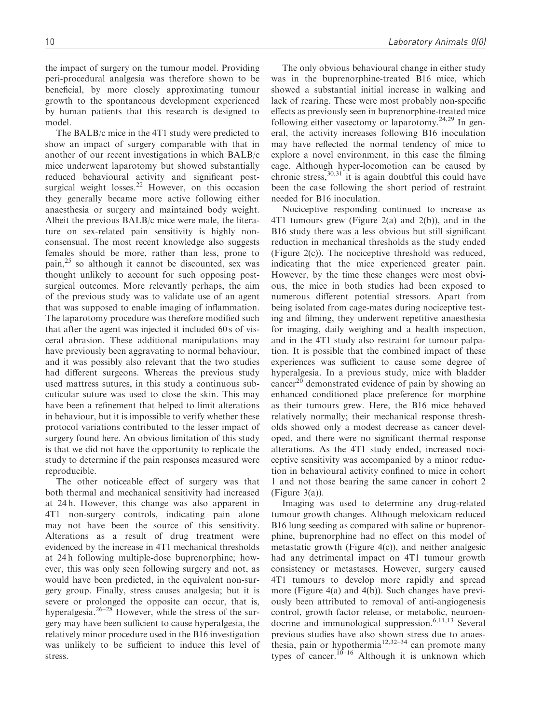the impact of surgery on the tumour model. Providing peri-procedural analgesia was therefore shown to be beneficial, by more closely approximating tumour growth to the spontaneous development experienced by human patients that this research is designed to model.

The BALB/c mice in the 4T1 study were predicted to show an impact of surgery comparable with that in another of our recent investigations in which BALB/c mice underwent laparotomy but showed substantially reduced behavioural activity and significant postsurgical weight losses.<sup>22</sup> However, on this occasion they generally became more active following either anaesthesia or surgery and maintained body weight. Albeit the previous BALB/c mice were male, the literature on sex-related pain sensitivity is highly nonconsensual. The most recent knowledge also suggests females should be more, rather than less, prone to pain, $^{25}$  so although it cannot be discounted, sex was thought unlikely to account for such opposing postsurgical outcomes. More relevantly perhaps, the aim of the previous study was to validate use of an agent that was supposed to enable imaging of inflammation. The laparotomy procedure was therefore modified such that after the agent was injected it included 60 s of visceral abrasion. These additional manipulations may have previously been aggravating to normal behaviour, and it was possibly also relevant that the two studies had different surgeons. Whereas the previous study used mattress sutures, in this study a continuous subcuticular suture was used to close the skin. This may have been a refinement that helped to limit alterations in behaviour, but it is impossible to verify whether these protocol variations contributed to the lesser impact of surgery found here. An obvious limitation of this study is that we did not have the opportunity to replicate the study to determine if the pain responses measured were reproducible.

The other noticeable effect of surgery was that both thermal and mechanical sensitivity had increased at 24 h. However, this change was also apparent in 4T1 non-surgery controls, indicating pain alone may not have been the source of this sensitivity. Alterations as a result of drug treatment were evidenced by the increase in 4T1 mechanical thresholds at 24 h following multiple-dose buprenorphine; however, this was only seen following surgery and not, as would have been predicted, in the equivalent non-surgery group. Finally, stress causes analgesia; but it is severe or prolonged the opposite can occur, that is, hyperalgesia. $26-28$  However, while the stress of the surgery may have been sufficient to cause hyperalgesia, the relatively minor procedure used in the B16 investigation was unlikely to be sufficient to induce this level of stress.

The only obvious behavioural change in either study was in the buprenorphine-treated B16 mice, which showed a substantial initial increase in walking and lack of rearing. These were most probably non-specific effects as previously seen in buprenorphine-treated mice following either vasectomy or laparotomy.<sup>24,29</sup> In general, the activity increases following B16 inoculation may have reflected the normal tendency of mice to explore a novel environment, in this case the filming cage. Although hyper-locomotion can be caused by chronic stress,  $30,31$  it is again doubtful this could have been the case following the short period of restraint needed for B16 inoculation.

Nociceptive responding continued to increase as 4T1 tumours grew (Figure 2(a) and 2(b)), and in the B16 study there was a less obvious but still significant reduction in mechanical thresholds as the study ended (Figure 2(c)). The nociceptive threshold was reduced, indicating that the mice experienced greater pain. However, by the time these changes were most obvious, the mice in both studies had been exposed to numerous different potential stressors. Apart from being isolated from cage-mates during nociceptive testing and filming, they underwent repetitive anaesthesia for imaging, daily weighing and a health inspection, and in the 4T1 study also restraint for tumour palpation. It is possible that the combined impact of these experiences was sufficient to cause some degree of hyperalgesia. In a previous study, mice with bladder cancer<sup>20</sup> demonstrated evidence of pain by showing an enhanced conditioned place preference for morphine as their tumours grew. Here, the B16 mice behaved relatively normally; their mechanical response thresholds showed only a modest decrease as cancer developed, and there were no significant thermal response alterations. As the 4T1 study ended, increased nociceptive sensitivity was accompanied by a minor reduction in behavioural activity confined to mice in cohort 1 and not those bearing the same cancer in cohort 2 (Figure 3(a)).

Imaging was used to determine any drug-related tumour growth changes. Although meloxicam reduced B16 lung seeding as compared with saline or buprenorphine, buprenorphine had no effect on this model of metastatic growth (Figure 4(c)), and neither analgesic had any detrimental impact on 4T1 tumour growth consistency or metastases. However, surgery caused 4T1 tumours to develop more rapidly and spread more (Figure 4(a) and 4(b)). Such changes have previously been attributed to removal of anti-angiogenesis control, growth factor release, or metabolic, neuroendocrine and immunological suppression.<sup>6,11,13</sup> Several previous studies have also shown stress due to anaesthesia, pain or hypothermia<sup>12,32–34</sup> can promote many types of cancer.<sup>10–16</sup> Although it is unknown which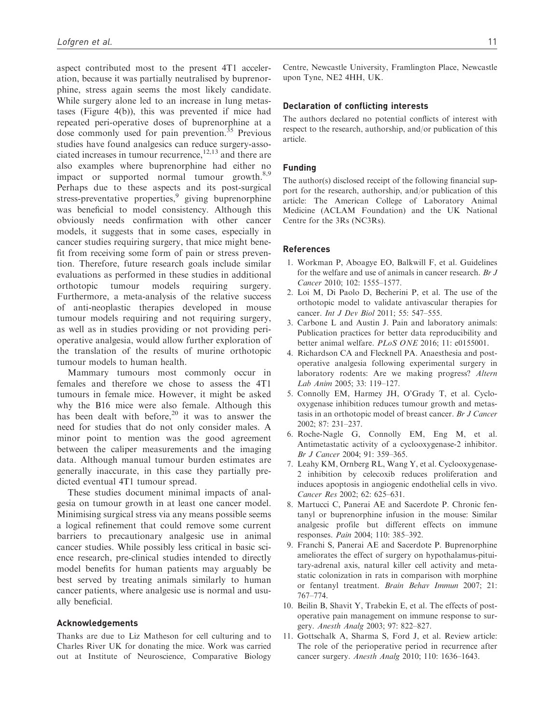aspect contributed most to the present 4T1 acceleration, because it was partially neutralised by buprenorphine, stress again seems the most likely candidate. While surgery alone led to an increase in lung metastases (Figure 4(b)), this was prevented if mice had repeated peri-operative doses of buprenorphine at a dose commonly used for pain prevention.<sup>35</sup> Previous studies have found analgesics can reduce surgery-associated increases in tumour recurrence, $12,13$  and there are also examples where buprenorphine had either no impact or supported normal tumour growth. $8,9$ Perhaps due to these aspects and its post-surgical stress-preventative properties,<sup>9</sup> giving buprenorphine was beneficial to model consistency. Although this obviously needs confirmation with other cancer models, it suggests that in some cases, especially in cancer studies requiring surgery, that mice might benefit from receiving some form of pain or stress prevention. Therefore, future research goals include similar evaluations as performed in these studies in additional orthotopic tumour models requiring surgery. Furthermore, a meta-analysis of the relative success of anti-neoplastic therapies developed in mouse tumour models requiring and not requiring surgery, as well as in studies providing or not providing perioperative analgesia, would allow further exploration of the translation of the results of murine orthotopic tumour models to human health.

Mammary tumours most commonly occur in females and therefore we chose to assess the 4T1 tumours in female mice. However, it might be asked why the B16 mice were also female. Although this has been dealt with before,  $20$  it was to answer the need for studies that do not only consider males. A minor point to mention was the good agreement between the caliper measurements and the imaging data. Although manual tumour burden estimates are generally inaccurate, in this case they partially predicted eventual 4T1 tumour spread.

These studies document minimal impacts of analgesia on tumour growth in at least one cancer model. Minimising surgical stress via any means possible seems a logical refinement that could remove some current barriers to precautionary analgesic use in animal cancer studies. While possibly less critical in basic science research, pre-clinical studies intended to directly model benefits for human patients may arguably be best served by treating animals similarly to human cancer patients, where analgesic use is normal and usually beneficial.

#### Acknowledgements

Thanks are due to Liz Matheson for cell culturing and to Charles River UK for donating the mice. Work was carried out at Institute of Neuroscience, Comparative Biology Centre, Newcastle University, Framlington Place, Newcastle upon Tyne, NE2 4HH, UK.

#### Declaration of conflicting interests

The authors declared no potential conflicts of interest with respect to the research, authorship, and/or publication of this article.

#### Funding

The author(s) disclosed receipt of the following financial support for the research, authorship, and/or publication of this article: The American College of Laboratory Animal Medicine (ACLAM Foundation) and the UK National Centre for the 3Rs (NC3Rs).

#### References

- 1. Workman P, Aboagye EO, Balkwill F, et al. Guidelines for the welfare and use of animals in cancer research. Br J Cancer 2010; 102: 1555–1577.
- 2. Loi M, Di Paolo D, Becherini P, et al. The use of the orthotopic model to validate antivascular therapies for cancer. *Int J Dev Biol* 2011; 55: 547-555.
- 3. Carbone L and Austin J. Pain and laboratory animals: Publication practices for better data reproducibility and better animal welfare. PLoS ONE 2016; 11: e0155001.
- 4. Richardson CA and Flecknell PA. Anaesthesia and postoperative analgesia following experimental surgery in laboratory rodents: Are we making progress? Altern Lab Anim 2005; 33: 119–127.
- 5. Connolly EM, Harmey JH, O'Grady T, et al. Cyclooxygenase inhibition reduces tumour growth and metastasis in an orthotopic model of breast cancer. Br J Cancer 2002; 87: 231–237.
- 6. Roche-Nagle G, Connolly EM, Eng M, et al. Antimetastatic activity of a cyclooxygenase-2 inhibitor. Br J Cancer 2004; 91: 359–365.
- 7. Leahy KM, Ornberg RL, Wang Y, et al. Cyclooxygenase-2 inhibition by celecoxib reduces proliferation and induces apoptosis in angiogenic endothelial cells in vivo. Cancer Res 2002; 62: 625–631.
- 8. Martucci C, Panerai AE and Sacerdote P. Chronic fentanyl or buprenorphine infusion in the mouse: Similar analgesic profile but different effects on immune responses. Pain 2004; 110: 385–392.
- 9. Franchi S, Panerai AE and Sacerdote P. Buprenorphine ameliorates the effect of surgery on hypothalamus-pituitary-adrenal axis, natural killer cell activity and metastatic colonization in rats in comparison with morphine or fentanyl treatment. Brain Behav Immun 2007; 21: 767–774.
- 10. Beilin B, Shavit Y, Trabekin E, et al. The effects of postoperative pain management on immune response to surgery. Anesth Analg 2003; 97: 822–827.
- 11. Gottschalk A, Sharma S, Ford J, et al. Review article: The role of the perioperative period in recurrence after cancer surgery. Anesth Analg 2010; 110: 1636–1643.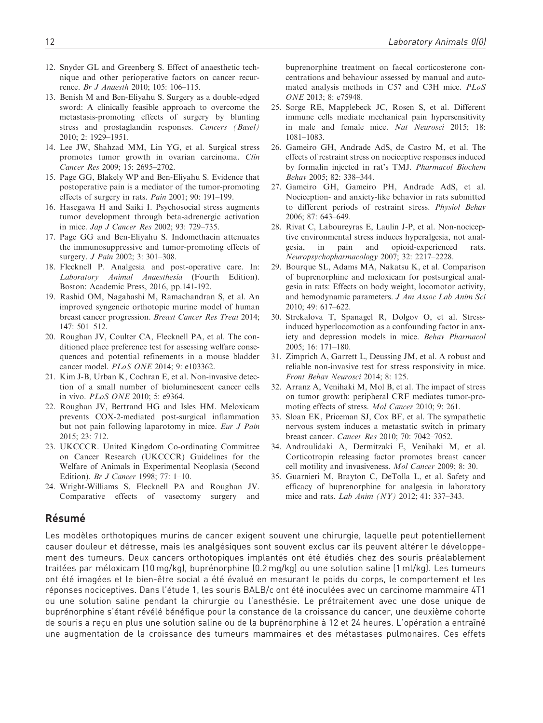- 12. Snyder GL and Greenberg S. Effect of anaesthetic technique and other perioperative factors on cancer recurrence. Br J Anaesth 2010; 105: 106–115.
- 13. Benish M and Ben-Eliyahu S. Surgery as a double-edged sword: A clinically feasible approach to overcome the metastasis-promoting effects of surgery by blunting stress and prostaglandin responses. Cancers (Basel) 2010; 2: 1929–1951.
- 14. Lee JW, Shahzad MM, Lin YG, et al. Surgical stress promotes tumor growth in ovarian carcinoma. Clin Cancer Res 2009; 15: 2695–2702.
- 15. Page GG, Blakely WP and Ben-Eliyahu S. Evidence that postoperative pain is a mediator of the tumor-promoting effects of surgery in rats. Pain 2001; 90: 191–199.
- 16. Hasegawa H and Saiki I. Psychosocial stress augments tumor development through beta-adrenergic activation in mice. Jap J Cancer Res 2002; 93: 729–735.
- 17. Page GG and Ben-Eliyahu S. Indomethacin attenuates the immunosuppressive and tumor-promoting effects of surgery. *J Pain* 2002; 3: 301-308.
- 18. Flecknell P. Analgesia and post-operative care. In: Laboratory Animal Anaesthesia (Fourth Edition). Boston: Academic Press, 2016, pp.141-192.
- 19. Rashid OM, Nagahashi M, Ramachandran S, et al. An improved syngeneic orthotopic murine model of human breast cancer progression. Breast Cancer Res Treat 2014; 147: 501–512.
- 20. Roughan JV, Coulter CA, Flecknell PA, et al. The conditioned place preference test for assessing welfare consequences and potential refinements in a mouse bladder cancer model. PLoS ONE 2014; 9: e103362.
- 21. Kim J-B, Urban K, Cochran E, et al. Non-invasive detection of a small number of bioluminescent cancer cells in vivo. PLoS ONE 2010; 5: e9364.
- 22. Roughan JV, Bertrand HG and Isles HM. Meloxicam prevents COX-2-mediated post-surgical inflammation but not pain following laparotomy in mice. Eur J Pain 2015; 23: 712.
- 23. UKCCCR. United Kingdom Co-ordinating Committee on Cancer Research (UKCCCR) Guidelines for the Welfare of Animals in Experimental Neoplasia (Second Edition). Br J Cancer 1998; 77: 1–10.
- 24. Wright-Williams S, Flecknell PA and Roughan JV. Comparative effects of vasectomy surgery and

buprenorphine treatment on faecal corticosterone concentrations and behaviour assessed by manual and automated analysis methods in C57 and C3H mice. PLoS ONE 2013; 8: e75948.

- 25. Sorge RE, Mapplebeck JC, Rosen S, et al. Different immune cells mediate mechanical pain hypersensitivity in male and female mice. Nat Neurosci 2015; 18: 1081–1083.
- 26. Gameiro GH, Andrade AdS, de Castro M, et al. The effects of restraint stress on nociceptive responses induced by formalin injected in rat's TMJ. Pharmacol Biochem Behav 2005; 82: 338–344.
- 27. Gameiro GH, Gameiro PH, Andrade AdS, et al. Nociception- and anxiety-like behavior in rats submitted to different periods of restraint stress. Physiol Behav 2006; 87: 643–649.
- 28. Rivat C, Laboureyras E, Laulin J-P, et al. Non-nociceptive environmental stress induces hyperalgesia, not analgesia, in pain and opioid-experienced rats. Neuropsychopharmacology 2007; 32: 2217–2228.
- 29. Bourque SL, Adams MA, Nakatsu K, et al. Comparison of buprenorphine and meloxicam for postsurgical analgesia in rats: Effects on body weight, locomotor activity, and hemodynamic parameters. J Am Assoc Lab Anim Sci 2010; 49: 617–622.
- 30. Strekalova T, Spanagel R, Dolgov O, et al. Stressinduced hyperlocomotion as a confounding factor in anxiety and depression models in mice. Behav Pharmacol 2005; 16: 171–180.
- 31. Zimprich A, Garrett L, Deussing JM, et al. A robust and reliable non-invasive test for stress responsivity in mice. Front Behav Neurosci 2014; 8: 125.
- 32. Arranz A, Venihaki M, Mol B, et al. The impact of stress on tumor growth: peripheral CRF mediates tumor-promoting effects of stress. Mol Cancer 2010; 9: 261.
- 33. Sloan EK, Priceman SJ, Cox BF, et al. The sympathetic nervous system induces a metastatic switch in primary breast cancer. Cancer Res 2010; 70: 7042–7052.
- 34. Androulidaki A, Dermitzaki E, Venihaki M, et al. Corticotropin releasing factor promotes breast cancer cell motility and invasiveness. Mol Cancer 2009; 8: 30.
- 35. Guarnieri M, Brayton C, DeTolla L, et al. Safety and efficacy of buprenorphine for analgesia in laboratory mice and rats. Lab Anim (NY) 2012; 41: 337–343.

# **Résumé**

Les modèles orthotopiques murins de cancer exigent souvent une chirurgie, laquelle peut potentiellement causer douleur et détresse, mais les analgésiques sont souvent exclus car ils peuvent altérer le développement des tumeurs. Deux cancers orthotopiques implantés ont été étudiés chez des souris préalablement traitées par méloxicam (10 mg/kg), buprénorphine (0.2 mg/kg) ou une solution saline (1 ml/kg). Les tumeurs ont été imagées et le bien-être social a été évalué en mesurant le poids du corps, le comportement et les réponses nociceptives. Dans l'étude 1, les souris BALB/c ont été inoculées avec un carcinome mammaire 4T1 ou une solution saline pendant la chirurgie ou l'anesthésie. Le prétraitement avec une dose unique de buprénorphine s'étant révélé bénéfique pour la constance de la croissance du cancer, une deuxième cohorte de souris a reçu en plus une solution saline ou de la buprénorphine à 12 et 24 heures. L'opération a entraîné une augmentation de la croissance des tumeurs mammaires et des métastases pulmonaires. Ces effets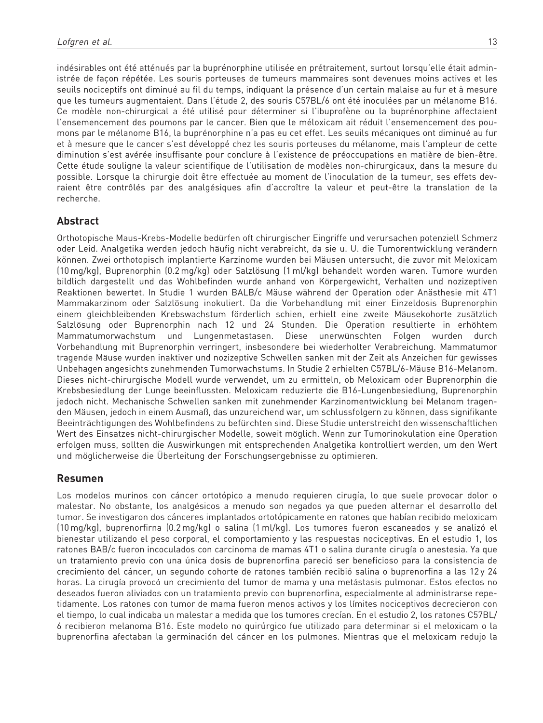indésirables ont été atténués par la buprénorphine utilisée en prétraitement, surtout lorsqu'elle était administrée de facon répétée. Les souris porteuses de tumeurs mammaires sont devenues moins actives et les seuils nociceptifs ont diminué au fil du temps, indiquant la présence d'un certain malaise au fur et à mesure que les tumeurs augmentaient. Dans l'étude 2, des souris C57BL/6 ont été inoculées par un mélanome B16. Ce modèle non-chirurgical a été utilisé pour déterminer si l'ibuprofène ou la buprénorphine affectaient l'ensemencement des poumons par le cancer. Bien que le méloxicam ait réduit l'ensemencement des poumons par le mélanome B16, la buprénorphine n'a pas eu cet effet. Les seuils mécaniques ont diminué au fur et à mesure que le cancer s'est développé chez les souris porteuses du mélanome, mais l'ampleur de cette diminution s'est avérée insuffisante pour conclure à l'existence de préoccupations en matière de bien-être. Cette étude souligne la valeur scientifique de l'utilisation de modèles non-chirurgicaux, dans la mesure du possible. Lorsque la chirurgie doit être effectuée au moment de l'inoculation de la tumeur, ses effets devraient être contrôlés par des analgésiques afin d'accroître la valeur et peut-être la translation de la recherche.

# Abstract

Orthotopische Maus-Krebs-Modelle bedürfen oft chirurgischer Eingriffe und verursachen potenziell Schmerz oder Leid. Analgetika werden jedoch häufig nicht verabreicht, da sie u. U. die Tumorentwicklung verändern können. Zwei orthotopisch implantierte Karzinome wurden bei Mäusen untersucht, die zuvor mit Meloxicam (10 mg/kg), Buprenorphin (0.2 mg/kg) oder Salzlo¨sung (1 ml/kg) behandelt worden waren. Tumore wurden bildlich dargestellt und das Wohlbefinden wurde anhand von Körpergewicht, Verhalten und nozizeptiven Reaktionen bewertet. In Studie 1 wurden BALB/c Mäuse während der Operation oder Anästhesie mit 4T1 Mammakarzinom oder Salzlösung inokuliert. Da die Vorbehandlung mit einer Einzeldosis Buprenorphin einem gleichbleibenden Krebswachstum förderlich schien, erhielt eine zweite Mäusekohorte zusätzlich Salzlösung oder Buprenorphin nach 12 und 24 Stunden. Die Operation resultierte in erhöhtem Mammatumorwachstum und Lungenmetastasen. Diese unerwünschten Folgen wurden durch Vorbehandlung mit Buprenorphin verringert, insbesondere bei wiederholter Verabreichung. Mammatumor tragende Mäuse wurden inaktiver und nozizeptive Schwellen sanken mit der Zeit als Anzeichen für gewisses Unbehagen angesichts zunehmenden Tumorwachstums. In Studie 2 erhielten C57BL/6-Mäuse B16-Melanom. Dieses nicht-chirurgische Modell wurde verwendet, um zu ermitteln, ob Meloxicam oder Buprenorphin die Krebsbesiedlung der Lunge beeinflussten. Meloxicam reduzierte die B16-Lungenbesiedlung, Buprenorphin jedoch nicht. Mechanische Schwellen sanken mit zunehmender Karzinomentwicklung bei Melanom tragenden Mäusen, jedoch in einem Ausmaß, das unzureichend war, um schlussfolgern zu können, dass signifikante Beeinträchtigungen des Wohlbefindens zu befürchten sind. Diese Studie unterstreicht den wissenschaftlichen Wert des Einsatzes nicht-chirurgischer Modelle, soweit möglich. Wenn zur Tumorinokulation eine Operation erfolgen muss, sollten die Auswirkungen mit entsprechenden Analgetika kontrolliert werden, um den Wert und möglicherweise die Überleitung der Forschungsergebnisse zu optimieren.

# Resumen

Los modelos murinos con cáncer ortotópico a menudo requieren cirugía, lo que suele provocar dolor o malestar. No obstante, los analgésicos a menudo son negados ya que pueden alternar el desarrollo del tumor. Se investigaron dos cánceres implantados ortotópicamente en ratones que habían recibido meloxicam (10 mg/kg), buprenorfirna (0.2 mg/kg) o salina (1 ml/kg). Los tumores fueron escaneados y se analizo´ el bienestar utilizando el peso corporal, el comportamiento y las respuestas nociceptivas. En el estudio 1, los ratones BAB/c fueron incoculados con carcinoma de mamas 4T1 o salina durante cirugía o anestesia. Ya que un tratamiento previo con una única dosis de buprenorfina pareció ser beneficioso para la consistencia de crecimiento del cáncer, un segundo cohorte de ratones también recibió salina o buprenorfina a las 12 y 24 horas. La cirugía provocó un crecimiento del tumor de mama y una metástasis pulmonar. Estos efectos no deseados fueron aliviados con un tratamiento previo con buprenorfina, especialmente al administrarse repetidamente. Los ratones con tumor de mama fueron menos activos y los límites nociceptivos decrecieron con el tiempo, lo cual indicaba un malestar a medida que los tumores crecían. En el estudio 2, los ratones C57BL/ 6 recibieron melanoma B16. Este modelo no quirúrgico fue utilizado para determinar si el meloxicam o la buprenorfina afectaban la germinación del cáncer en los pulmones. Mientras que el meloxicam redujo la